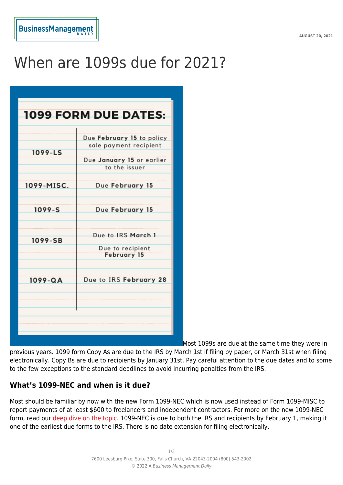# When are 1099s due for 2021?

| <b>1099 FORM DUE DATES:</b> |                                                                                                   |
|-----------------------------|---------------------------------------------------------------------------------------------------|
| 1099-LS                     | Due February 15 to policy<br>sale payment recipient<br>Due January 15 or earlier<br>to the issuer |
| 1099-MISC.                  | Due February 15                                                                                   |
| $1099 - S$                  | Due February 15                                                                                   |
| 1099-SB                     | Due to IRS March 1<br>Due to recipient<br><b>February 15</b>                                      |
| $1099 - QA$                 | Due to IRS February 28                                                                            |
|                             |                                                                                                   |
|                             |                                                                                                   |

Most 1099s are due at the same time they were in

previous years. 1099 form Copy As are due to the IRS by March 1st if filing by paper, or March 31st when filing electronically. Copy Bs are due to recipients by January 31st. Pay careful attention to the due dates and to some to the few exceptions to the standard deadlines to avoid incurring penalties from the IRS.

## **What's 1099-NEC and when is it due?**

Most should be familiar by now with the new Form 1099-NEC which is now used instead of Form 1099-MISC to report payments of at least \$600 to freelancers and independent contractors. For more on the new 1099-NEC form, read our [deep dive on the topic](https://www.businessmanagementdaily.com/62272/new-1099-nec-forms-the-myths-and-the-need-to-know/). 1099-NEC is due to both the IRS and recipients by February 1, making it one of the earliest due forms to the IRS. There is no date extension for filing electronically.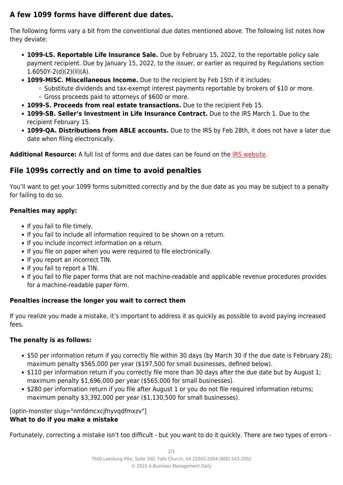# **A few 1099 forms have different due dates.**

The following forms vary a bit from the conventional due dates mentioned above. The following list notes how they deviate:

- **1099-LS. Reportable Life Insurance Sale.** Due by February 15, 2022, to the reportable policy sale payment recipient. Due by January 15, 2022, to the issuer, or earlier as required by Regulations section 1.6050Y-2(d)(2)(iI)(A).
- **1099-MISC. Miscellaneous Income.** Due to the recipient by Feb 15th if it includes:
	- $\circ$  Substitute dividends and tax-exempt interest payments reportable by brokers of \$10 or more. ○ Gross proceeds paid to attorneys of \$600 or more.
- **1099-S. Proceeds from real estate transactions.** Due to the recipient Feb 15.
- **1099-SB. Seller's Investment in Life Insurance Contract.** Due to the IRS March 1. Due to the recipient February 15.
- **1099-QA. Distributions from ABLE accounts.** Due to the IRS by Feb 28th, it does not have a later due date when filing electronically.

**Additional Resource:** A full list of forms and due dates can be found on the [IRS website](https://www.irs.gov/instructions/i1099gi#:~:text=The%20due%20date%20for%20furnishing,)%20is%20February%2016%2C%202021.).

# **File 1099s correctly and on time to avoid penalties**

You'll want to get your 1099 forms submitted correctly and by the due date as you may be subject to a penalty for failing to do so.

### **Penalties may apply:**

- If you fail to file timely.
- If you fail to include all information required to be shown on a return.
- If you include incorrect information on a return.
- If you file on paper when you were required to file electronically.
- If you report an incorrect TIN.
- If you fail to report a TIN.
- If you fail to file paper forms that are not machine-readable and applicable revenue procedures provides for a machine-readable paper form.

## **Penalties increase the longer you wait to correct them**

If you realize you made a mistake, it's important to address it as quickly as possible to avoid paying increased fees.

#### **The penalty is as follows:**

- \$50 per information return if you correctly file within 30 days (by March 30 if the due date is February 28); maximum penalty \$565,000 per year (\$197,500 for small businesses, defined below).
- \$110 per information return if you correctly file more than 30 days after the due date but by August 1; maximum penalty \$1,696,000 per year (\$565,000 for small businesses).
- \$280 per information return if you file after August 1 or you do not file required information returns; maximum penalty \$3,392,000 per year (\$1,130,500 for small businesses).

[optin-monster slug="nmfdmcxcjfnyvqdfmxzv"]

#### **What to do if you make a mistake**

Fortunately, correcting a mistake isn't too difficult - but you want to do it quickly. There are two types of errors -